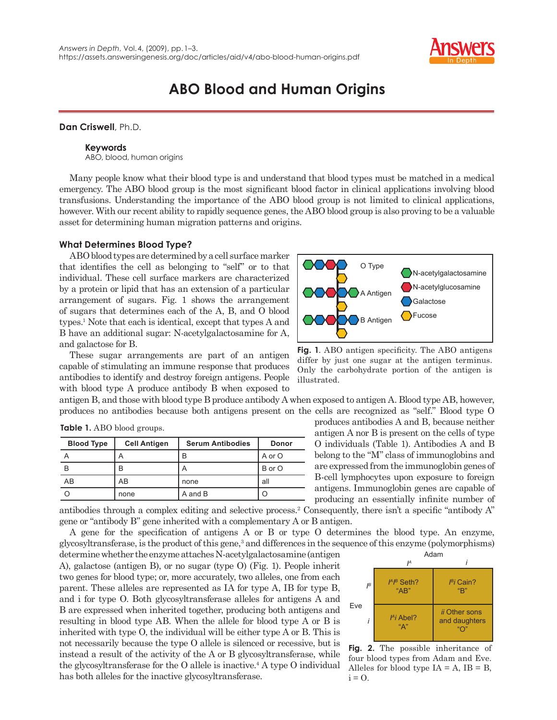

# **ABO Blood and Human Origins**

# **Dan Criswell**, Ph.D.

## **Keywords**

ABO, blood, human origins

Many people know what their blood type is and understand that blood types must be matched in a medical emergency. The ABO blood group is the most significant blood factor in clinical applications involving blood transfusions. Understanding the importance of the ABO blood group is not limited to clinical applications, however. With our recent ability to rapidly sequence genes, the ABO blood group is also proving to be a valuable asset for determining human migration patterns and origins.

### **What Determines Blood Type?**

ABO blood types are determined by a cell surface marker that identifies the cell as belonging to "self" or to that individual. These cell surface markers are characterized by a protein or lipid that has an extension of a particular arrangement of sugars. Fig. 1 shows the arrangement of sugars that determines each of the A, B, and O blood types.<sup>1</sup> Note that each is identical, except that types A and B have an additional sugar: N-acetylgalactosamine for A, and galactose for B.

These sugar arrangements are part of an antigen capable of stimulating an immune response that produces antibodies to identify and destroy foreign antigens. People with blood type A produce antibody B when exposed to

antigen B, and those with blood type B produce antibody A when exposed to antigen A. Blood type AB, however, produces no antibodies because both antigens present on the cells are recognized as "self." Blood type O

| <b>Blood Type</b> | <b>Cell Antigen</b> | <b>Serum Antibodies</b>   | <b>Donor</b> |
|-------------------|---------------------|---------------------------|--------------|
|                   | A                   | B                         | A or O       |
| B                 | B                   | $\boldsymbol{\mathsf{A}}$ | B or O       |
| AB                | AB                  | none                      | all          |
|                   | none                | A and B                   | Ő            |

| <b>Table 1.</b> ABO blood groups. |  |  |
|-----------------------------------|--|--|
|-----------------------------------|--|--|



**Fig. 1.** ABO antigen specificity. The ABO antigens differ by just one sugar at the antigen terminus. Only the carbohydrate portion of the antigen is illustrated.

produces antibodies A and B, because neither antigen A nor B is present on the cells of type O individuals (Table 1). Antibodies A and B belong to the "M" class of immunoglobins and are expressed from the immunoglobin genes of B-cell lymphocytes upon exposure to foreign antigens. Immunoglobin genes are capable of producing an essentially infinite number of

antibodies through a complex editing and selective process.<sup>2</sup> Consequently, there isn't a specific "antibody  $A$ " gene or "antibody B" gene inherited with a complementary A or B antigen.

A gene for the specification of antigens A or B or type O determines the blood type. An enzyme, glycosyltransferase, is the product of this gene,<sup>3</sup> and differences in the sequence of this enzyme (polymorphisms)

determine whether the enzyme attaches N-acetylgalactosamine (antigen A), galactose (antigen B), or no sugar (type O) (Fig. 1). People inherit two genes for blood type; or, more accurately, two alleles, one from each parent. These alleles are represented as IA for type A, IB for type B, and i for type O. Both glycosyltransferase alleles for antigens A and B are expressed when inherited together, producing both antigens and resulting in blood type AB. When the allele for blood type A or B is inherited with type O, the individual will be either type A or B. This is not necessarily because the type O allele is silenced or recessive, but is instead a result of the activity of the A or B glycosyltransferase, while the glycosyltransferase for the  $O$  allele is inactive.<sup>4</sup> A type  $O$  individual has both alleles for the inactive glycosyltransferase.



**Fig. 2.** The possible inheritance of four blood types from Adam and Eve. Alleles for blood type  $IA = A$ ,  $IB = B$ ,  $i = 0$ .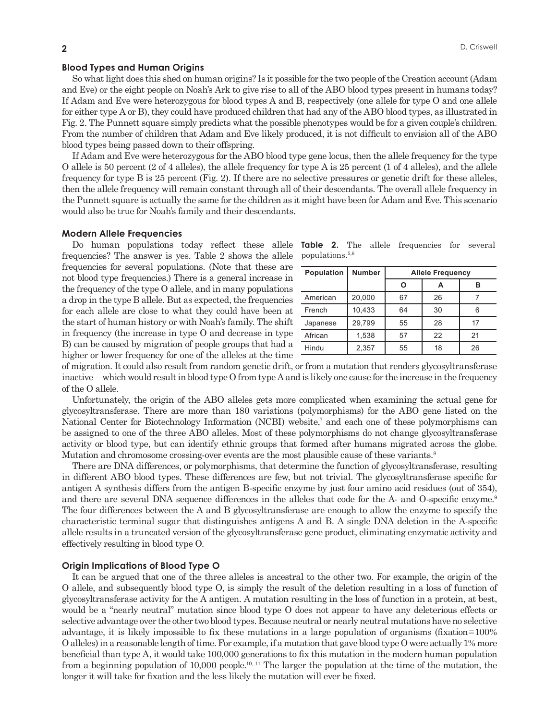# **Blood Types and Human Origins**

So what light does this shed on human origins? Is it possible for the two people of the Creation account (Adam and Eve) or the eight people on Noah's Ark to give rise to all of the ABO blood types present in humans today? If Adam and Eve were heterozygous for blood types A and B, respectively (one allele for type O and one allele for either type A or B), they could have produced children that had any of the ABO blood types, as illustrated in Fig. 2. The Punnett square simply predicts what the possible phenotypes would be for a given couple's children. From the number of children that Adam and Eve likely produced, it is not difficult to envision all of the ABO blood types being passed down to their offspring.

If Adam and Eve were heterozygous for the ABO blood type gene locus, then the allele frequency for the type O allele is 50 percent (2 of 4 alleles), the allele frequency for type A is 25 percent (1 of 4 alleles), and the allele frequency for type B is 25 percent (Fig. 2). If there are no selective pressures or genetic drift for these alleles, then the allele frequency will remain constant through all of their descendants. The overall allele frequency in the Punnett square is actually the same for the children as it might have been for Adam and Eve. This scenario would also be true for Noah's family and their descendants.

### **Modern Allele Frequencies**

Do human populations today reflect these allele frequencies? The answer is yes. Table 2 shows the allele frequencies for several populations. (Note that these are not blood type frequencies.) There is a general increase in the frequency of the type O allele, and in many populations a drop in the type B allele. But as expected, the frequencies for each allele are close to what they could have been at the start of human history or with Noah's family. The shift in frequency (the increase in type O and decrease in type B) can be caused by migration of people groups that had a higher or lower frequency for one of the alleles at the time

|                             |  | <b>Table 2.</b> The allele frequencies for several |  |
|-----------------------------|--|----------------------------------------------------|--|
| populations. <sup>5,6</sup> |  |                                                    |  |

| <b>Population</b> | <b>Number</b> | <b>Allele Frequency</b> |    |    |  |
|-------------------|---------------|-------------------------|----|----|--|
|                   |               |                         |    | R  |  |
| American          | 20,000        | 67                      | 26 |    |  |
| French            | 10.433        | 64                      | 30 | 6  |  |
| Japanese          | 29,799        | 55                      | 28 | 17 |  |
| African           | 1,538         | 57                      | 22 | 21 |  |
| Hindu             | 2.357         | 55                      | 18 | 26 |  |

of migration. It could also result from random genetic drift, or from a mutation that renders glycosyltransferase inactive—which would result in blood type O from type A and is likely one cause for the increase in the frequency of the O allele.

Unfortunately, the origin of the ABO alleles gets more complicated when examining the actual gene for glycosyltransferase. There are more than 180 variations (polymorphisms) for the ABO gene listed on the National Center for Biotechnology Information (NCBI) website,<sup>7</sup> and each one of these polymorphisms can be assigned to one of the three ABO alleles. Most of these polymorphisms do not change glycosyltransferase activity or blood type, but can identify ethnic groups that formed after humans migrated across the globe. Mutation and chromosome crossing-over events are the most plausible cause of these variants.<sup>8</sup>

There are DNA differences, or polymorphisms, that determine the function of glycosyltransferase, resulting in different ABO blood types. These differences are few, but not trivial. The glycosyltransferase specific for antigen A synthesis differs from the antigen B-specific enzyme by just four amino acid residues (out of 354), and there are several DNA sequence differences in the alleles that code for the A- and O-specific enzyme.<sup>9</sup> The four differences between the A and B glycosyltransferase are enough to allow the enzyme to specify the characteristic terminal sugar that distinguishes antigens A and B. A single DNA deletion in the A-specific allele results in a truncated version of the glycosyltransferase gene product, eliminating enzymatic activity and effectively resulting in blood type O.

#### **Origin Implications of Blood Type O**

It can be argued that one of the three alleles is ancestral to the other two. For example, the origin of the O allele, and subsequently blood type O, is simply the result of the deletion resulting in a loss of function of glycosyltransferase activity for the A antigen. A mutation resulting in the loss of function in a protein, at best, would be a "nearly neutral" mutation since blood type O does not appear to have any deleterious effects or selective advantage over the other two blood types. Because neutral or nearly neutral mutations have no selective advantage, it is likely impossible to fix these mutations in a large population of organisms (fixation = 100% O alleles) in a reasonable length of time. For example, if a mutation that gave blood type O were actually 1% more beneficial than type A, it would take 100,000 generations to fix this mutation in the modern human population from a beginning population of 10,000 people.<sup>10, 11</sup> The larger the population at the time of the mutation, the longer it will take for fixation and the less likely the mutation will ever be fixed.